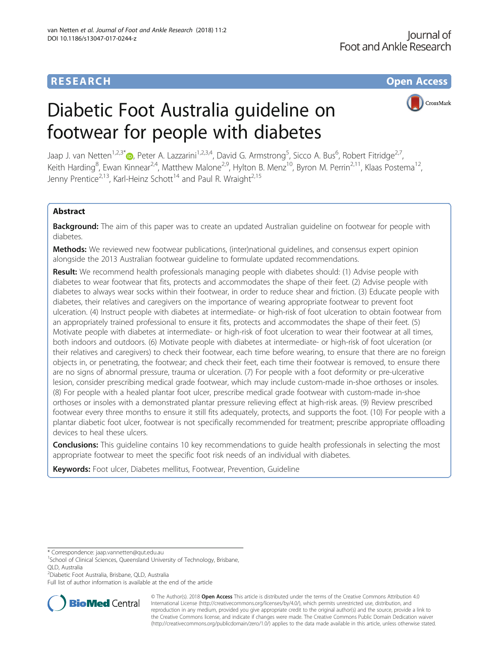# **RESEARCH CHE Open Access**

# Diabetic Foot Australia guideline on footwear for people with diabetes



Jaap J. van Netten<sup>1,2,3[\\*](http://orcid.org/0000-0002-6420-6046)</sup>®, Peter A. Lazzarini<sup>1,2,3,4</sup>, David G. Armstrong<sup>5</sup>, Sicco A. Bus<sup>6</sup>, Robert Fitridge<sup>2,7</sup>, Keith Harding<sup>8</sup>, Ewan Kinnear<sup>2,4</sup>, Matthew Malone<sup>2,9</sup>, Hylton B. Menz<sup>10</sup>, Byron M. Perrin<sup>2,11</sup>, Klaas Postema<sup>12</sup>, Jenny Prentice<sup>2,13</sup>, Karl-Heinz Schott<sup>14</sup> and Paul R. Wraight<sup>2,15</sup>

# Abstract

**Background:** The aim of this paper was to create an updated Australian quideline on footwear for people with diabetes.

**Methods:** We reviewed new footwear publications, (inter)national quidelines, and consensus expert opinion alongside the 2013 Australian footwear guideline to formulate updated recommendations.

Result: We recommend health professionals managing people with diabetes should: (1) Advise people with diabetes to wear footwear that fits, protects and accommodates the shape of their feet. (2) Advise people with diabetes to always wear socks within their footwear, in order to reduce shear and friction. (3) Educate people with diabetes, their relatives and caregivers on the importance of wearing appropriate footwear to prevent foot ulceration. (4) Instruct people with diabetes at intermediate- or high-risk of foot ulceration to obtain footwear from an appropriately trained professional to ensure it fits, protects and accommodates the shape of their feet. (5) Motivate people with diabetes at intermediate- or high-risk of foot ulceration to wear their footwear at all times, both indoors and outdoors. (6) Motivate people with diabetes at intermediate- or high-risk of foot ulceration (or their relatives and caregivers) to check their footwear, each time before wearing, to ensure that there are no foreign objects in, or penetrating, the footwear; and check their feet, each time their footwear is removed, to ensure there are no signs of abnormal pressure, trauma or ulceration. (7) For people with a foot deformity or pre-ulcerative lesion, consider prescribing medical grade footwear, which may include custom-made in-shoe orthoses or insoles. (8) For people with a healed plantar foot ulcer, prescribe medical grade footwear with custom-made in-shoe orthoses or insoles with a demonstrated plantar pressure relieving effect at high-risk areas. (9) Review prescribed footwear every three months to ensure it still fits adequately, protects, and supports the foot. (10) For people with a plantar diabetic foot ulcer, footwear is not specifically recommended for treatment; prescribe appropriate offloading devices to heal these ulcers.

**Conclusions:** This quideline contains 10 key recommendations to quide health professionals in selecting the most appropriate footwear to meet the specific foot risk needs of an individual with diabetes.

Keywords: Foot ulcer, Diabetes mellitus, Footwear, Prevention, Guideline

\* Correspondence: [jaap.vannetten@qut.edu.au](mailto:jaap.vannetten@qut.edu.au) <sup>1</sup>

2 Diabetic Foot Australia, Brisbane, QLD, Australia

Full list of author information is available at the end of the article



© The Author(s). 2018 Open Access This article is distributed under the terms of the Creative Commons Attribution 4.0 International License [\(http://creativecommons.org/licenses/by/4.0/](http://creativecommons.org/licenses/by/4.0/)), which permits unrestricted use, distribution, and reproduction in any medium, provided you give appropriate credit to the original author(s) and the source, provide a link to the Creative Commons license, and indicate if changes were made. The Creative Commons Public Domain Dedication waiver [\(http://creativecommons.org/publicdomain/zero/1.0/](http://creativecommons.org/publicdomain/zero/1.0/)) applies to the data made available in this article, unless otherwise stated.

<sup>&</sup>lt;sup>1</sup>School of Clinical Sciences, Queensland University of Technology, Brisbane, QLD, Australia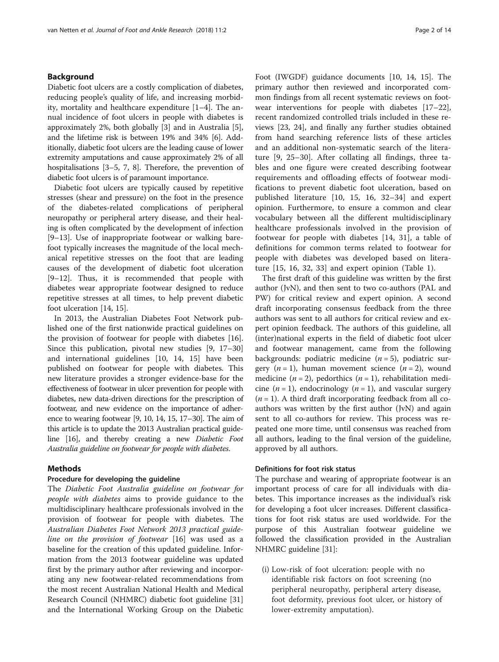# Background

Diabetic foot ulcers are a costly complication of diabetes, reducing people's quality of life, and increasing morbidity, mortality and healthcare expenditure [[1](#page-12-0)–[4\]](#page-12-0). The annual incidence of foot ulcers in people with diabetes is approximately 2%, both globally [[3\]](#page-12-0) and in Australia [\[5](#page-12-0)], and the lifetime risk is between 19% and 34% [[6\]](#page-12-0). Additionally, diabetic foot ulcers are the leading cause of lower extremity amputations and cause approximately 2% of all hospitalisations [\[3](#page-12-0)–[5](#page-12-0), [7](#page-12-0), [8](#page-12-0)]. Therefore, the prevention of diabetic foot ulcers is of paramount importance.

Diabetic foot ulcers are typically caused by repetitive stresses (shear and pressure) on the foot in the presence of the diabetes-related complications of peripheral neuropathy or peripheral artery disease, and their healing is often complicated by the development of infection [[9](#page-12-0)–[13\]](#page-12-0). Use of inappropriate footwear or walking barefoot typically increases the magnitude of the local mechanical repetitive stresses on the foot that are leading causes of the development of diabetic foot ulceration [[9](#page-12-0)–[12\]](#page-12-0). Thus, it is recommended that people with diabetes wear appropriate footwear designed to reduce repetitive stresses at all times, to help prevent diabetic foot ulceration [\[14, 15\]](#page-12-0).

In 2013, the Australian Diabetes Foot Network published one of the first nationwide practical guidelines on the provision of footwear for people with diabetes [\[16](#page-12-0)]. Since this publication, pivotal new studies [\[9](#page-12-0), [17](#page-12-0)–[30](#page-12-0)] and international guidelines [[10](#page-12-0), [14](#page-12-0), [15\]](#page-12-0) have been published on footwear for people with diabetes. This new literature provides a stronger evidence-base for the effectiveness of footwear in ulcer prevention for people with diabetes, new data-driven directions for the prescription of footwear, and new evidence on the importance of adherence to wearing footwear [\[9, 10, 14](#page-12-0), [15](#page-12-0), [17](#page-12-0)–[30\]](#page-12-0). The aim of this article is to update the 2013 Australian practical guideline [\[16](#page-12-0)], and thereby creating a new Diabetic Foot Australia guideline on footwear for people with diabetes.

#### Methods

# Procedure for developing the guideline

The Diabetic Foot Australia guideline on footwear for people with diabetes aims to provide guidance to the multidisciplinary healthcare professionals involved in the provision of footwear for people with diabetes. The Australian Diabetes Foot Network 2013 practical guide-line on the provision of footwear [[16\]](#page-12-0) was used as a baseline for the creation of this updated guideline. Information from the 2013 footwear guideline was updated first by the primary author after reviewing and incorporating any new footwear-related recommendations from the most recent Australian National Health and Medical Research Council (NHMRC) diabetic foot guideline [[31](#page-12-0)] and the International Working Group on the Diabetic

Foot (IWGDF) guidance documents [[10, 14, 15\]](#page-12-0). The primary author then reviewed and incorporated common findings from all recent systematic reviews on footwear interventions for people with diabetes [[17](#page-12-0)–[22](#page-12-0)], recent randomized controlled trials included in these reviews [\[23](#page-12-0), [24\]](#page-12-0), and finally any further studies obtained from hand searching reference lists of these articles and an additional non-systematic search of the literature [[9, 25](#page-12-0)–[30](#page-12-0)]. After collating all findings, three tables and one figure were created describing footwear requirements and offloading effects of footwear modifications to prevent diabetic foot ulceration, based on published literature [\[10](#page-12-0), [15, 16, 32](#page-12-0)–[34](#page-12-0)] and expert opinion. Furthermore, to ensure a common and clear vocabulary between all the different multidisciplinary healthcare professionals involved in the provision of footwear for people with diabetes [\[14](#page-12-0), [31](#page-12-0)], a table of definitions for common terms related to footwear for people with diabetes was developed based on literature [[15, 16](#page-12-0), [32](#page-12-0), [33](#page-12-0)] and expert opinion (Table [1\)](#page-2-0).

The first draft of this guideline was written by the first author (JvN), and then sent to two co-authors (PAL and PW) for critical review and expert opinion. A second draft incorporating consensus feedback from the three authors was sent to all authors for critical review and expert opinion feedback. The authors of this guideline, all (inter)national experts in the field of diabetic foot ulcer and footwear management, came from the following backgrounds: podiatric medicine  $(n = 5)$ , podiatric surgery  $(n = 1)$ , human movement science  $(n = 2)$ , wound medicine ( $n = 2$ ), pedorthics ( $n = 1$ ), rehabilitation medicine  $(n = 1)$ , endocrinology  $(n = 1)$ , and vascular surgery  $(n = 1)$ . A third draft incorporating feedback from all coauthors was written by the first author (JvN) and again sent to all co-authors for review. This process was repeated one more time, until consensus was reached from all authors, leading to the final version of the guideline, approved by all authors.

#### Definitions for foot risk status

The purchase and wearing of appropriate footwear is an important process of care for all individuals with diabetes. This importance increases as the individual's risk for developing a foot ulcer increases. Different classifications for foot risk status are used worldwide. For the purpose of this Australian footwear guideline we followed the classification provided in the Australian NHMRC guideline [[31\]](#page-12-0):

(i) Low-risk of foot ulceration: people with no identifiable risk factors on foot screening (no peripheral neuropathy, peripheral artery disease, foot deformity, previous foot ulcer, or history of lower-extremity amputation).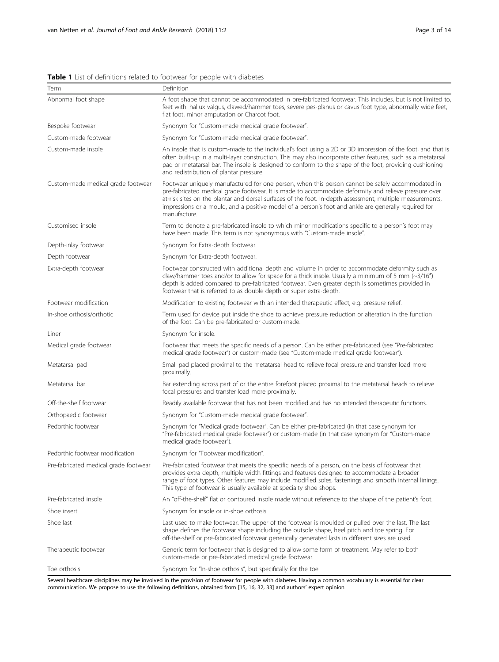|                                       | <b>I</b> EDIT OF GERMANORD TERRICO TO ROOM CORTOR DEOPIC WITH GROUPLES                                                                                                                                                                                                                                                                                                                                                                        |
|---------------------------------------|-----------------------------------------------------------------------------------------------------------------------------------------------------------------------------------------------------------------------------------------------------------------------------------------------------------------------------------------------------------------------------------------------------------------------------------------------|
| Term                                  | Definition                                                                                                                                                                                                                                                                                                                                                                                                                                    |
| Abnormal foot shape                   | A foot shape that cannot be accommodated in pre-fabricated footwear. This includes, but is not limited to,<br>feet with: hallux valgus, clawed/hammer toes, severe pes-planus or cavus foot type, abnormally wide feet,<br>flat foot, minor amputation or Charcot foot.                                                                                                                                                                       |
| Bespoke footwear                      | Synonym for "Custom-made medical grade footwear".                                                                                                                                                                                                                                                                                                                                                                                             |
| Custom-made footwear                  | Synonym for "Custom-made medical grade footwear".                                                                                                                                                                                                                                                                                                                                                                                             |
| Custom-made insole                    | An insole that is custom-made to the individual's foot using a 2D or 3D impression of the foot, and that is<br>often built-up in a multi-layer construction. This may also incorporate other features, such as a metatarsal<br>pad or metatarsal bar. The insole is designed to conform to the shape of the foot, providing cushioning<br>and redistribution of plantar pressure.                                                             |
| Custom-made medical grade footwear    | Footwear uniquely manufactured for one person, when this person cannot be safely accommodated in<br>pre-fabricated medical grade footwear. It is made to accommodate deformity and relieve pressure over<br>at-risk sites on the plantar and dorsal surfaces of the foot. In-depth assessment, multiple measurements,<br>impressions or a mould, and a positive model of a person's foot and ankle are generally required for<br>manufacture. |
| Customised insole                     | Term to denote a pre-fabricated insole to which minor modifications specific to a person's foot may<br>have been made. This term is not synonymous with "Custom-made insole".                                                                                                                                                                                                                                                                 |
| Depth-inlay footwear                  | Synonym for Extra-depth footwear.                                                                                                                                                                                                                                                                                                                                                                                                             |
| Depth footwear                        | Synonym for Extra-depth footwear.                                                                                                                                                                                                                                                                                                                                                                                                             |
| Extra-depth footwear                  | Footwear constructed with additional depth and volume in order to accommodate deformity such as<br>claw/hammer toes and/or to allow for space for a thick insole. Usually a minimum of 5 mm $(\sim3/16")$<br>depth is added compared to pre-fabricated footwear. Even greater depth is sometimes provided in<br>footwear that is referred to as double depth or super extra-depth.                                                            |
| Footwear modification                 | Modification to existing footwear with an intended therapeutic effect, e.g. pressure relief.                                                                                                                                                                                                                                                                                                                                                  |
| In-shoe orthosis/orthotic             | Term used for device put inside the shoe to achieve pressure reduction or alteration in the function<br>of the foot. Can be pre-fabricated or custom-made.                                                                                                                                                                                                                                                                                    |
| Liner                                 | Synonym for insole.                                                                                                                                                                                                                                                                                                                                                                                                                           |
| Medical grade footwear                | Footwear that meets the specific needs of a person. Can be either pre-fabricated (see "Pre-fabricated<br>medical grade footwear") or custom-made (see "Custom-made medical grade footwear").                                                                                                                                                                                                                                                  |
| Metatarsal pad                        | Small pad placed proximal to the metatarsal head to relieve focal pressure and transfer load more<br>proximally.                                                                                                                                                                                                                                                                                                                              |
| Metatarsal bar                        | Bar extending across part of or the entire forefoot placed proximal to the metatarsal heads to relieve<br>focal pressures and transfer load more proximally.                                                                                                                                                                                                                                                                                  |
| Off-the-shelf footwear                | Readily available footwear that has not been modified and has no intended therapeutic functions.                                                                                                                                                                                                                                                                                                                                              |
| Orthopaedic footwear                  | Synonym for "Custom-made medical grade footwear".                                                                                                                                                                                                                                                                                                                                                                                             |
| Pedorthic footwear                    | Synonym for "Medical grade footwear". Can be either pre-fabricated (in that case synonym for<br>"Pre-fabricated medical grade footwear") or custom-made (in that case synonym for "Custom-made<br>medical grade footwear").                                                                                                                                                                                                                   |
| Pedorthic footwear modification       | Synonym for "Footwear modification".                                                                                                                                                                                                                                                                                                                                                                                                          |
| Pre-fabricated medical grade footwear | Pre-fabricated footwear that meets the specific needs of a person, on the basis of footwear that<br>provides extra depth, multiple width fittings and features designed to accommodate a broader<br>range of foot types. Other features may include modified soles, fastenings and smooth internal linings.<br>This type of footwear is usually available at specialty shoe shops.                                                            |
| Pre-fabricated insole                 | An "off-the-shelf" flat or contoured insole made without reference to the shape of the patient's foot.                                                                                                                                                                                                                                                                                                                                        |
| Shoe insert                           | Synonym for insole or in-shoe orthosis.                                                                                                                                                                                                                                                                                                                                                                                                       |
| Shoe last                             | Last used to make footwear. The upper of the footwear is moulded or pulled over the last. The last<br>shape defines the footwear shape including the outsole shape, heel pitch and toe spring. For<br>off-the-shelf or pre-fabricated footwear generically generated lasts in different sizes are used.                                                                                                                                       |
| Therapeutic footwear                  | Generic term for footwear that is designed to allow some form of treatment. May refer to both<br>custom-made or pre-fabricated medical grade footwear.                                                                                                                                                                                                                                                                                        |
| Toe orthosis                          | Synonym for "In-shoe orthosis", but specifically for the toe.                                                                                                                                                                                                                                                                                                                                                                                 |

<span id="page-2-0"></span>Table 1 List of definitions related to footwear for people with diabetes

Several healthcare disciplines may be involved in the provision of footwear for people with diabetes. Having a common vocabulary is essential for clear communication. We propose to use the following definitions, obtained from [\[15](#page-12-0), [16,](#page-12-0) [32,](#page-12-0) [33](#page-12-0)] and authors' expert opinion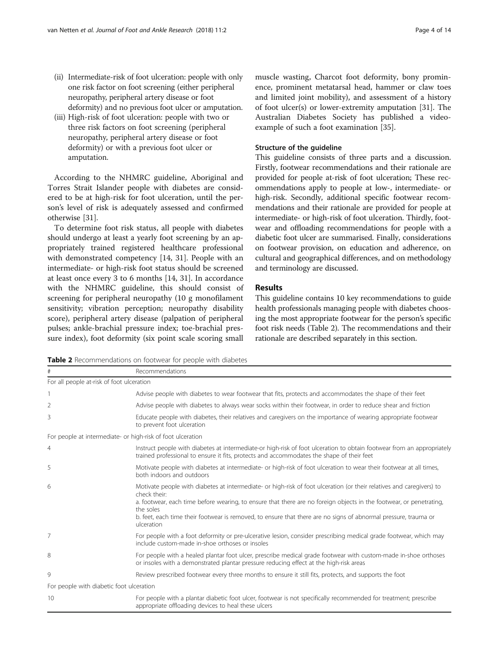- <span id="page-3-0"></span>(ii) Intermediate-risk of foot ulceration: people with only one risk factor on foot screening (either peripheral neuropathy, peripheral artery disease or foot deformity) and no previous foot ulcer or amputation.
- (iii) High-risk of foot ulceration: people with two or three risk factors on foot screening (peripheral neuropathy, peripheral artery disease or foot deformity) or with a previous foot ulcer or amputation.

According to the NHMRC guideline, Aboriginal and Torres Strait Islander people with diabetes are considered to be at high-risk for foot ulceration, until the person's level of risk is adequately assessed and confirmed otherwise [\[31\]](#page-12-0).

To determine foot risk status, all people with diabetes should undergo at least a yearly foot screening by an appropriately trained registered healthcare professional with demonstrated competency [[14, 31](#page-12-0)]. People with an intermediate- or high-risk foot status should be screened at least once every 3 to 6 months [[14, 31\]](#page-12-0). In accordance with the NHMRC guideline, this should consist of screening for peripheral neuropathy (10 g monofilament sensitivity; vibration perception; neuropathy disability score), peripheral artery disease (palpation of peripheral pulses; ankle-brachial pressure index; toe-brachial pressure index), foot deformity (six point scale scoring small

muscle wasting, Charcot foot deformity, bony prominence, prominent metatarsal head, hammer or claw toes and limited joint mobility), and assessment of a history of foot ulcer(s) or lower-extremity amputation [[31\]](#page-12-0). The Australian Diabetes Society has published a videoexample of such a foot examination [\[35](#page-12-0)].

#### Structure of the guideline

This guideline consists of three parts and a discussion. Firstly, footwear recommendations and their rationale are provided for people at-risk of foot ulceration; These recommendations apply to people at low-, intermediate- or high-risk. Secondly, additional specific footwear recommendations and their rationale are provided for people at intermediate- or high-risk of foot ulceration. Thirdly, footwear and offloading recommendations for people with a diabetic foot ulcer are summarised. Finally, considerations on footwear provision, on education and adherence, on cultural and geographical differences, and on methodology and terminology are discussed.

# Results

This guideline contains 10 key recommendations to guide health professionals managing people with diabetes choosing the most appropriate footwear for the person's specific foot risk needs (Table 2). The recommendations and their rationale are described separately in this section.

Table 2 Recommendations on footwear for people with diabetes

| #              | Recommendations                                                                                                                                                                                                                                                                                                                                                                                            |
|----------------|------------------------------------------------------------------------------------------------------------------------------------------------------------------------------------------------------------------------------------------------------------------------------------------------------------------------------------------------------------------------------------------------------------|
|                | For all people at-risk of foot ulceration                                                                                                                                                                                                                                                                                                                                                                  |
|                | Advise people with diabetes to wear footwear that fits, protects and accommodates the shape of their feet                                                                                                                                                                                                                                                                                                  |
| 2              | Advise people with diabetes to always wear socks within their footwear, in order to reduce shear and friction                                                                                                                                                                                                                                                                                              |
| 3              | Educate people with diabetes, their relatives and caregivers on the importance of wearing appropriate footwear<br>to prevent foot ulceration                                                                                                                                                                                                                                                               |
|                | For people at intermediate- or high-risk of foot ulceration                                                                                                                                                                                                                                                                                                                                                |
| $\overline{4}$ | Instruct people with diabetes at intermediate-or high-risk of foot ulceration to obtain footwear from an appropriately<br>trained professional to ensure it fits, protects and accommodates the shape of their feet                                                                                                                                                                                        |
| 5              | Motivate people with diabetes at intermediate- or high-risk of foot ulceration to wear their footwear at all times,<br>both indoors and outdoors                                                                                                                                                                                                                                                           |
| 6              | Motivate people with diabetes at intermediate- or high-risk of foot ulceration (or their relatives and caregivers) to<br>check their:<br>a. footwear, each time before wearing, to ensure that there are no foreign objects in the footwear, or penetrating,<br>the soles<br>b. feet, each time their footwear is removed, to ensure that there are no signs of abnormal pressure, trauma or<br>ulceration |
| 7              | For people with a foot deformity or pre-ulcerative lesion, consider prescribing medical grade footwear, which may<br>include custom-made in-shoe orthoses or insoles                                                                                                                                                                                                                                       |
| 8              | For people with a healed plantar foot ulcer, prescribe medical grade footwear with custom-made in-shoe orthoses<br>or insoles with a demonstrated plantar pressure reducing effect at the high-risk areas                                                                                                                                                                                                  |
| 9              | Review prescribed footwear every three months to ensure it still fits, protects, and supports the foot                                                                                                                                                                                                                                                                                                     |
|                | For people with diabetic foot ulceration                                                                                                                                                                                                                                                                                                                                                                   |
| 10             | For people with a plantar diabetic foot ulcer, footwear is not specifically recommended for treatment; prescribe<br>appropriate offloading devices to heal these ulcers                                                                                                                                                                                                                                    |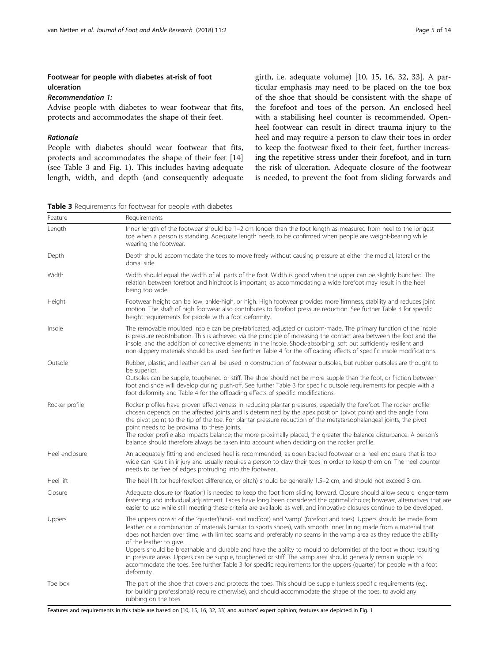# <span id="page-4-0"></span>Footwear for people with diabetes at-risk of foot ulceration

### Recommendation 1:

Advise people with diabetes to wear footwear that fits, protects and accommodates the shape of their feet.

# Rationale

People with diabetes should wear footwear that fits, protects and accommodates the shape of their feet [[14](#page-12-0)] (see Table 3 and Fig. [1\)](#page-5-0). This includes having adequate length, width, and depth (and consequently adequate girth, i.e. adequate volume) [\[10, 15](#page-12-0), [16](#page-12-0), [32](#page-12-0), [33](#page-12-0)]. A particular emphasis may need to be placed on the toe box of the shoe that should be consistent with the shape of the forefoot and toes of the person. An enclosed heel with a stabilising heel counter is recommended. Openheel footwear can result in direct trauma injury to the heel and may require a person to claw their toes in order to keep the footwear fixed to their feet, further increasing the repetitive stress under their forefoot, and in turn the risk of ulceration. Adequate closure of the footwear is needed, to prevent the foot from sliding forwards and

Table 3 Requirements for footwear for people with diabetes

| Feature        | Requirements                                                                                                                                                                                                                                                                                                                                                                                                                                                                                                                                                                                                                                                                                                                                                        |
|----------------|---------------------------------------------------------------------------------------------------------------------------------------------------------------------------------------------------------------------------------------------------------------------------------------------------------------------------------------------------------------------------------------------------------------------------------------------------------------------------------------------------------------------------------------------------------------------------------------------------------------------------------------------------------------------------------------------------------------------------------------------------------------------|
| Length         | Inner length of the footwear should be 1–2 cm longer than the foot length as measured from heel to the longest<br>toe when a person is standing. Adequate length needs to be confirmed when people are weight-bearing while<br>wearing the footwear.                                                                                                                                                                                                                                                                                                                                                                                                                                                                                                                |
| Depth          | Depth should accommodate the toes to move freely without causing pressure at either the medial, lateral or the<br>dorsal side.                                                                                                                                                                                                                                                                                                                                                                                                                                                                                                                                                                                                                                      |
| Width          | Width should equal the width of all parts of the foot. Width is good when the upper can be slightly bunched. The<br>relation between forefoot and hindfoot is important, as accommodating a wide forefoot may result in the heel<br>being too wide.                                                                                                                                                                                                                                                                                                                                                                                                                                                                                                                 |
| Height         | Footwear height can be low, ankle-high, or high. High footwear provides more firmness, stability and reduces joint<br>motion. The shaft of high footwear also contributes to forefoot pressure reduction. See further Table 3 for specific<br>height requirements for people with a foot deformity.                                                                                                                                                                                                                                                                                                                                                                                                                                                                 |
| Insole         | The removable moulded insole can be pre-fabricated, adjusted or custom-made. The primary function of the insole<br>is pressure redistribution. This is achieved via the principle of increasing the contact area between the foot and the<br>insole, and the addition of corrective elements in the insole. Shock-absorbing, soft but sufficiently resilient and<br>non-slippery materials should be used. See further Table 4 for the offloading effects of specific insole modifications.                                                                                                                                                                                                                                                                         |
| Outsole        | Rubber, plastic, and leather can all be used in construction of footwear outsoles, but rubber outsoles are thought to<br>be superior.<br>Outsoles can be supple, toughened or stiff. The shoe should not be more supple than the foot, or friction between<br>foot and shoe will develop during push-off. See further Table 3 for specific outsole requirements for people with a<br>foot deformity and Table 4 for the offloading effects of specific modifications.                                                                                                                                                                                                                                                                                               |
| Rocker profile | Rocker profiles have proven effectiveness in reducing plantar pressures, especially the forefoot. The rocker profile<br>chosen depends on the affected joints and is determined by the apex position (pivot point) and the angle from<br>the pivot point to the tip of the toe. For plantar pressure reduction of the metatarsophalangeal joints, the pivot<br>point needs to be proximal to these joints.<br>The rocker profile also impacts balance; the more proximally placed, the greater the balance disturbance. A person's<br>balance should therefore always be taken into account when deciding on the rocker profile.                                                                                                                                    |
| Heel enclosure | An adequately fitting and enclosed heel is recommended, as open backed footwear or a heel enclosure that is too<br>wide can result in injury and usually requires a person to claw their toes in order to keep them on. The heel counter<br>needs to be free of edges protruding into the footwear.                                                                                                                                                                                                                                                                                                                                                                                                                                                                 |
| Heel lift      | The heel lift (or heel-forefoot difference, or pitch) should be generally 1.5-2 cm, and should not exceed 3 cm.                                                                                                                                                                                                                                                                                                                                                                                                                                                                                                                                                                                                                                                     |
| Closure        | Adequate closure (or fixation) is needed to keep the foot from sliding forward. Closure should allow secure longer-term<br>fastening and individual adjustment. Laces have long been considered the optimal choice; however, alternatives that are<br>easier to use while still meeting these criteria are available as well, and innovative closures continue to be developed.                                                                                                                                                                                                                                                                                                                                                                                     |
| Uppers         | The uppers consist of the 'quarter'(hind- and midfoot) and 'vamp' (forefoot and toes). Uppers should be made from<br>leather or a combination of materials (similar to sports shoes), with smooth inner lining made from a material that<br>does not harden over time, with limited seams and preferably no seams in the vamp area as they reduce the ability<br>of the leather to give.<br>Uppers should be breathable and durable and have the ability to mould to deformities of the foot without resulting<br>in pressure areas. Uppers can be supple, toughened or stiff. The vamp area should generally remain supple to<br>accommodate the toes. See further Table 3 for specific requirements for the uppers (quarter) for people with a foot<br>deformity. |
| Toe box        | The part of the shoe that covers and protects the toes. This should be supple (unless specific requirements (e.g.<br>for building professionals) require otherwise), and should accommodate the shape of the toes, to avoid any<br>rubbing on the toes.                                                                                                                                                                                                                                                                                                                                                                                                                                                                                                             |

Features and requirements in this table are based on [[10,](#page-12-0) [15,](#page-12-0) [16](#page-12-0), [32,](#page-12-0) [33](#page-12-0)] and authors' expert opinion; features are depicted in Fig. [1](#page-5-0)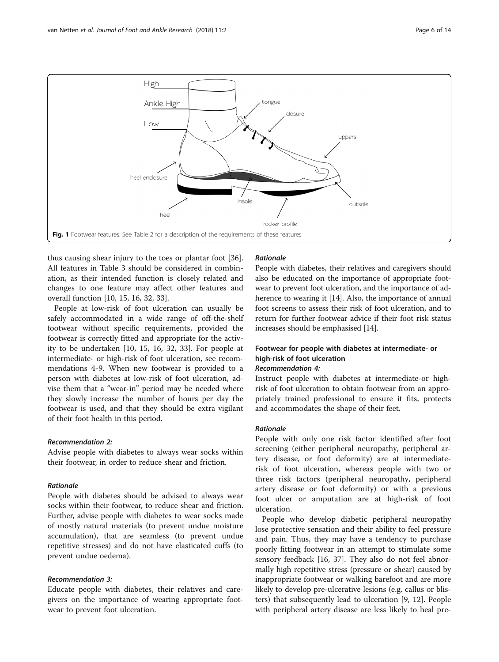<span id="page-5-0"></span>

thus causing shear injury to the toes or plantar foot [\[36](#page-12-0)]. All features in Table [3](#page-4-0) should be considered in combination, as their intended function is closely related and changes to one feature may affect other features and overall function [\[10](#page-12-0), [15, 16, 32, 33\]](#page-12-0).

People at low-risk of foot ulceration can usually be safely accommodated in a wide range of off-the-shelf footwear without specific requirements, provided the footwear is correctly fitted and appropriate for the activity to be undertaken [[10](#page-12-0), [15](#page-12-0), [16](#page-12-0), [32, 33\]](#page-12-0). For people at intermediate- or high-risk of foot ulceration, see recommendations 4-9. When new footwear is provided to a person with diabetes at low-risk of foot ulceration, advise them that a "wear-in" period may be needed where they slowly increase the number of hours per day the footwear is used, and that they should be extra vigilant of their foot health in this period.

## Recommendation 2:

Advise people with diabetes to always wear socks within their footwear, in order to reduce shear and friction.

#### **Rationale**

People with diabetes should be advised to always wear socks within their footwear, to reduce shear and friction. Further, advise people with diabetes to wear socks made of mostly natural materials (to prevent undue moisture accumulation), that are seamless (to prevent undue repetitive stresses) and do not have elasticated cuffs (to prevent undue oedema).

#### Recommendation 3:

Educate people with diabetes, their relatives and caregivers on the importance of wearing appropriate footwear to prevent foot ulceration.

#### Rationale

People with diabetes, their relatives and caregivers should also be educated on the importance of appropriate footwear to prevent foot ulceration, and the importance of ad-herence to wearing it [\[14\]](#page-12-0). Also, the importance of annual foot screens to assess their risk of foot ulceration, and to return for further footwear advice if their foot risk status increases should be emphasised [\[14\]](#page-12-0).

# Footwear for people with diabetes at intermediate- or high-risk of foot ulceration

# Recommendation 4:

Instruct people with diabetes at intermediate-or highrisk of foot ulceration to obtain footwear from an appropriately trained professional to ensure it fits, protects and accommodates the shape of their feet.

#### Rationale

People with only one risk factor identified after foot screening (either peripheral neuropathy, peripheral artery disease, or foot deformity) are at intermediaterisk of foot ulceration, whereas people with two or three risk factors (peripheral neuropathy, peripheral artery disease or foot deformity) or with a previous foot ulcer or amputation are at high-risk of foot ulceration.

People who develop diabetic peripheral neuropathy lose protective sensation and their ability to feel pressure and pain. Thus, they may have a tendency to purchase poorly fitting footwear in an attempt to stimulate some sensory feedback [\[16, 37\]](#page-12-0). They also do not feel abnormally high repetitive stress (pressure or shear) caused by inappropriate footwear or walking barefoot and are more likely to develop pre-ulcerative lesions (e.g. callus or blisters) that subsequently lead to ulceration [\[9](#page-12-0), [12\]](#page-12-0). People with peripheral artery disease are less likely to heal pre-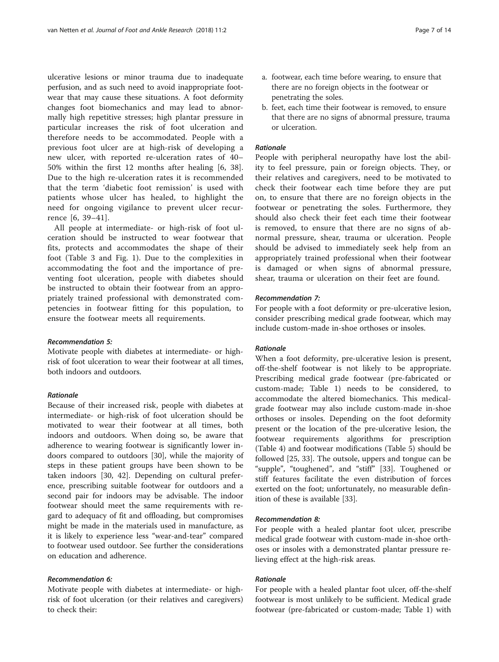ulcerative lesions or minor trauma due to inadequate perfusion, and as such need to avoid inappropriate footwear that may cause these situations. A foot deformity changes foot biomechanics and may lead to abnormally high repetitive stresses; high plantar pressure in particular increases the risk of foot ulceration and therefore needs to be accommodated. People with a previous foot ulcer are at high-risk of developing a new ulcer, with reported re-ulceration rates of 40– 50% within the first 12 months after healing [[6, 38](#page-12-0)]. Due to the high re-ulceration rates it is recommended that the term 'diabetic foot remission' is used with patients whose ulcer has healed, to highlight the need for ongoing vigilance to prevent ulcer recurrence [\[6](#page-12-0), [39](#page-12-0)–[41](#page-13-0)].

All people at intermediate- or high-risk of foot ulceration should be instructed to wear footwear that fits, protects and accommodates the shape of their foot (Table [3](#page-4-0) and Fig. [1\)](#page-5-0). Due to the complexities in accommodating the foot and the importance of preventing foot ulceration, people with diabetes should be instructed to obtain their footwear from an appropriately trained professional with demonstrated competencies in footwear fitting for this population, to ensure the footwear meets all requirements.

#### Recommendation 5:

Motivate people with diabetes at intermediate- or highrisk of foot ulceration to wear their footwear at all times, both indoors and outdoors.

#### **Rationale**

Because of their increased risk, people with diabetes at intermediate- or high-risk of foot ulceration should be motivated to wear their footwear at all times, both indoors and outdoors. When doing so, be aware that adherence to wearing footwear is significantly lower indoors compared to outdoors [[30](#page-12-0)], while the majority of steps in these patient groups have been shown to be taken indoors [\[30](#page-12-0), [42](#page-13-0)]. Depending on cultural preference, prescribing suitable footwear for outdoors and a second pair for indoors may be advisable. The indoor footwear should meet the same requirements with regard to adequacy of fit and offloading, but compromises might be made in the materials used in manufacture, as it is likely to experience less "wear-and-tear" compared to footwear used outdoor. See further the considerations on education and adherence.

#### Recommendation 6:

Motivate people with diabetes at intermediate- or highrisk of foot ulceration (or their relatives and caregivers) to check their:

- a. footwear, each time before wearing, to ensure that there are no foreign objects in the footwear or penetrating the soles.
- b. feet, each time their footwear is removed, to ensure that there are no signs of abnormal pressure, trauma or ulceration.

#### **Rationale**

People with peripheral neuropathy have lost the ability to feel pressure, pain or foreign objects. They, or their relatives and caregivers, need to be motivated to check their footwear each time before they are put on, to ensure that there are no foreign objects in the footwear or penetrating the soles. Furthermore, they should also check their feet each time their footwear is removed, to ensure that there are no signs of abnormal pressure, shear, trauma or ulceration. People should be advised to immediately seek help from an appropriately trained professional when their footwear is damaged or when signs of abnormal pressure, shear, trauma or ulceration on their feet are found.

# Recommendation 7:

For people with a foot deformity or pre-ulcerative lesion, consider prescribing medical grade footwear, which may include custom-made in-shoe orthoses or insoles.

#### Rationale

When a foot deformity, pre-ulcerative lesion is present, off-the-shelf footwear is not likely to be appropriate. Prescribing medical grade footwear (pre-fabricated or custom-made; Table [1\)](#page-2-0) needs to be considered, to accommodate the altered biomechanics. This medicalgrade footwear may also include custom-made in-shoe orthoses or insoles. Depending on the foot deformity present or the location of the pre-ulcerative lesion, the footwear requirements algorithms for prescription (Table [4](#page-7-0)) and footwear modifications (Table [5\)](#page-7-0) should be followed [\[25](#page-12-0), [33](#page-12-0)]. The outsole, uppers and tongue can be "supple", "toughened", and "stiff" [[33](#page-12-0)]. Toughened or stiff features facilitate the even distribution of forces exerted on the foot; unfortunately, no measurable definition of these is available [[33](#page-12-0)].

# Recommendation 8:

For people with a healed plantar foot ulcer, prescribe medical grade footwear with custom-made in-shoe orthoses or insoles with a demonstrated plantar pressure relieving effect at the high-risk areas.

### Rationale

For people with a healed plantar foot ulcer, off-the-shelf footwear is most unlikely to be sufficient. Medical grade footwear (pre-fabricated or custom-made; Table [1\)](#page-2-0) with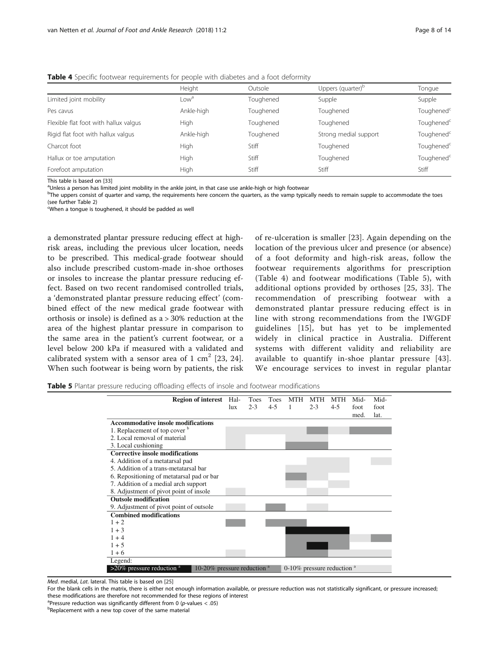<span id="page-7-0"></span>Table 4 Specific footwear requirements for people with diabetes and a foot deformity

|                                       | Height           | Outsole   | Uppers (quarter) <sup>p</sup> | Tongue                 |
|---------------------------------------|------------------|-----------|-------------------------------|------------------------|
| Limited joint mobility                | Low <sup>a</sup> | Toughened | Supple                        | Supple                 |
| Pes cavus                             | Ankle-high       | Toughened | Toughened                     | Toughened <sup>c</sup> |
| Flexible flat foot with hallux valgus | <b>High</b>      | Toughened | Toughened                     | Toughened <sup>c</sup> |
| Rigid flat foot with hallux valgus    | Ankle-high       | Toughened | Strong medial support         | Toughened <sup>c</sup> |
| Charcot foot                          | High             | Stiff     | Toughened                     | Toughened <sup>c</sup> |
| Hallux or toe amputation              | High             | Stiff     | Toughened                     | Toughened <sup>c</sup> |
| Forefoot amputation                   | High             | Stiff     | Stiff                         | Stiff                  |

This table is based on [\[33](#page-12-0)]

<sup>a</sup>Unless a person has limited joint mobility in the ankle joint, in that case use ankle-high or high footwear

<sup>b</sup>The uppers consist of quarter and vamp, the requirements here concern the quarters, as the vamp typically needs to remain supple to accommodate the toes (see further Table [2](#page-3-0))

When a tongue is toughened, it should be padded as well

a demonstrated plantar pressure reducing effect at highrisk areas, including the previous ulcer location, needs to be prescribed. This medical-grade footwear should also include prescribed custom-made in-shoe orthoses or insoles to increase the plantar pressure reducing effect. Based on two recent randomised controlled trials, a 'demonstrated plantar pressure reducing effect' (combined effect of the new medical grade footwear with orthosis or insole) is defined as a > 30% reduction at the area of the highest plantar pressure in comparison to the same area in the patient's current footwear, or a level below 200 kPa if measured with a validated and calibrated system with a sensor area of 1 cm<sup>2</sup> [\[23](#page-12-0), [24](#page-12-0)]. When such footwear is being worn by patients, the risk

of re-ulceration is smaller [[23](#page-12-0)]. Again depending on the location of the previous ulcer and presence (or absence) of a foot deformity and high-risk areas, follow the footwear requirements algorithms for prescription (Table 4) and footwear modifications (Table 5), with additional options provided by orthoses [[25, 33](#page-12-0)]. The recommendation of prescribing footwear with a demonstrated plantar pressure reducing effect is in line with strong recommendations from the IWGDF guidelines [[15](#page-12-0)], but has yet to be implemented widely in clinical practice in Australia. Different systems with different validity and reliability are available to quantify in-shoe plantar pressure [[43](#page-13-0)]. We encourage services to invest in regular plantar

| <b>Table 5</b> Plantar pressure reducing offloading effects of insole and footwear modifications |  |  |
|--------------------------------------------------------------------------------------------------|--|--|
|                                                                                                  |  |  |

| <b>Region of interest</b>                                       | Hal- | Toes    | Toes    | MTH                          | <b>MTH</b> | MTH | Mid- | Mid- |
|-----------------------------------------------------------------|------|---------|---------|------------------------------|------------|-----|------|------|
|                                                                 | lux  | $2 - 3$ | $4 - 5$ |                              | $2 - 3$    | 4-5 | foot | foot |
|                                                                 |      |         |         |                              |            |     | med. | lat. |
| <b>Accommodative insole modifications</b>                       |      |         |         |                              |            |     |      |      |
| 1. Replacement of top cover b                                   |      |         |         |                              |            |     |      |      |
| 2. Local removal of material                                    |      |         |         |                              |            |     |      |      |
| 3. Local cushioning                                             |      |         |         |                              |            |     |      |      |
| <b>Corrective insole modifications</b>                          |      |         |         |                              |            |     |      |      |
| 4. Addition of a metatarsal pad                                 |      |         |         |                              |            |     |      |      |
| 5. Addition of a trans-metatarsal bar                           |      |         |         |                              |            |     |      |      |
| 6. Repositioning of metatarsal pad or bar                       |      |         |         |                              |            |     |      |      |
| 7. Addition of a medial arch support                            |      |         |         |                              |            |     |      |      |
| 8. Adjustment of pivot point of insole                          |      |         |         |                              |            |     |      |      |
| <b>Outsole modification</b>                                     |      |         |         |                              |            |     |      |      |
| 9. Adjustment of pivot point of outsole                         |      |         |         |                              |            |     |      |      |
| <b>Combined modifications</b>                                   |      |         |         |                              |            |     |      |      |
| $1 + 2$                                                         |      |         |         |                              |            |     |      |      |
| $1 + 3$                                                         |      |         |         |                              |            |     |      |      |
| $1 + 4$                                                         |      |         |         |                              |            |     |      |      |
| $1 + 5$                                                         |      |         |         |                              |            |     |      |      |
| $1+6$                                                           |      |         |         |                              |            |     |      |      |
| Legend:                                                         |      |         |         |                              |            |     |      |      |
| $>20\%$ pressure reduction $a$<br>10-20% pressure reduction $a$ |      |         |         | 0-10% pressure reduction $a$ |            |     |      |      |

Med. medial, Lat. lateral. This table is based on [\[25](#page-12-0)]

For the blank cells in the matrix, there is either not enough information available, or pressure reduction was not statistically significant, or pressure increased; these modifications are therefore not recommended for these regions of interest

<sup>a</sup> Pressure reduction was significantly different from 0 (p-values < .05) been approximate the same material

**PReplacement with a new top cover of the same material**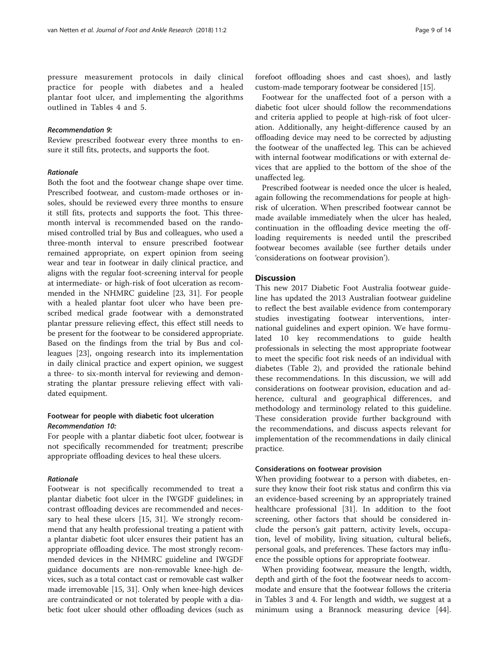pressure measurement protocols in daily clinical practice for people with diabetes and a healed plantar foot ulcer, and implementing the algorithms outlined in Tables [4](#page-7-0) and 5.

#### Recommendation 9:

Review prescribed footwear every three months to ensure it still fits, protects, and supports the foot.

#### **Rationale**

Both the foot and the footwear change shape over time. Prescribed footwear, and custom-made orthoses or insoles, should be reviewed every three months to ensure it still fits, protects and supports the foot. This threemonth interval is recommended based on the randomised controlled trial by Bus and colleagues, who used a three-month interval to ensure prescribed footwear remained appropriate, on expert opinion from seeing wear and tear in footwear in daily clinical practice, and aligns with the regular foot-screening interval for people at intermediate- or high-risk of foot ulceration as recommended in the NHMRC guideline [\[23](#page-12-0), [31\]](#page-12-0). For people with a healed plantar foot ulcer who have been prescribed medical grade footwear with a demonstrated plantar pressure relieving effect, this effect still needs to be present for the footwear to be considered appropriate. Based on the findings from the trial by Bus and colleagues [\[23\]](#page-12-0), ongoing research into its implementation in daily clinical practice and expert opinion, we suggest a three- to six-month interval for reviewing and demonstrating the plantar pressure relieving effect with validated equipment.

# Footwear for people with diabetic foot ulceration Recommendation 10:

For people with a plantar diabetic foot ulcer, footwear is not specifically recommended for treatment; prescribe appropriate offloading devices to heal these ulcers.

# **Rationale**

Footwear is not specifically recommended to treat a plantar diabetic foot ulcer in the IWGDF guidelines; in contrast offloading devices are recommended and necessary to heal these ulcers [[15, 31](#page-12-0)]. We strongly recommend that any health professional treating a patient with a plantar diabetic foot ulcer ensures their patient has an appropriate offloading device. The most strongly recommended devices in the NHMRC guideline and IWGDF guidance documents are non-removable knee-high devices, such as a total contact cast or removable cast walker made irremovable [\[15, 31](#page-12-0)]. Only when knee-high devices are contraindicated or not tolerated by people with a diabetic foot ulcer should other offloading devices (such as

forefoot offloading shoes and cast shoes), and lastly custom-made temporary footwear be considered [[15](#page-12-0)].

Footwear for the unaffected foot of a person with a diabetic foot ulcer should follow the recommendations and criteria applied to people at high-risk of foot ulceration. Additionally, any height-difference caused by an offloading device may need to be corrected by adjusting the footwear of the unaffected leg. This can be achieved with internal footwear modifications or with external devices that are applied to the bottom of the shoe of the unaffected leg.

Prescribed footwear is needed once the ulcer is healed, again following the recommendations for people at highrisk of ulceration. When prescribed footwear cannot be made available immediately when the ulcer has healed, continuation in the offloading device meeting the offloading requirements is needed until the prescribed footwear becomes available (see further details under 'considerations on footwear provision').

# **Discussion**

This new 2017 Diabetic Foot Australia footwear guideline has updated the 2013 Australian footwear guideline to reflect the best available evidence from contemporary studies investigating footwear interventions, international guidelines and expert opinion. We have formulated 10 key recommendations to guide health professionals in selecting the most appropriate footwear to meet the specific foot risk needs of an individual with diabetes (Table [2\)](#page-3-0), and provided the rationale behind these recommendations. In this discussion, we will add considerations on footwear provision, education and adherence, cultural and geographical differences, and methodology and terminology related to this guideline. These consideration provide further background with the recommendations, and discuss aspects relevant for implementation of the recommendations in daily clinical practice.

#### Considerations on footwear provision

When providing footwear to a person with diabetes, ensure they know their foot risk status and confirm this via an evidence-based screening by an appropriately trained healthcare professional [[31](#page-12-0)]. In addition to the foot screening, other factors that should be considered include the person's gait pattern, activity levels, occupation, level of mobility, living situation, cultural beliefs, personal goals, and preferences. These factors may influence the possible options for appropriate footwear.

When providing footwear, measure the length, width, depth and girth of the foot the footwear needs to accommodate and ensure that the footwear follows the criteria in Tables [3](#page-4-0) and [4.](#page-7-0) For length and width, we suggest at a minimum using a Brannock measuring device [\[44](#page-13-0)].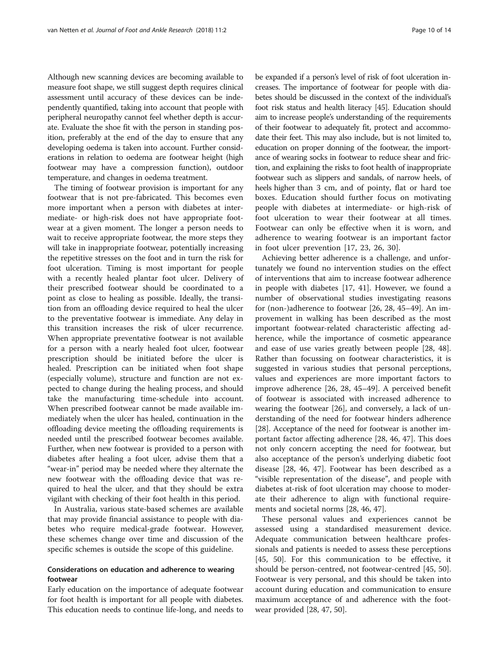Although new scanning devices are becoming available to measure foot shape, we still suggest depth requires clinical assessment until accuracy of these devices can be independently quantified, taking into account that people with peripheral neuropathy cannot feel whether depth is accurate. Evaluate the shoe fit with the person in standing position, preferably at the end of the day to ensure that any developing oedema is taken into account. Further considerations in relation to oedema are footwear height (high footwear may have a compression function), outdoor temperature, and changes in oedema treatment.

The timing of footwear provision is important for any footwear that is not pre-fabricated. This becomes even more important when a person with diabetes at intermediate- or high-risk does not have appropriate footwear at a given moment. The longer a person needs to wait to receive appropriate footwear, the more steps they will take in inappropriate footwear, potentially increasing the repetitive stresses on the foot and in turn the risk for foot ulceration. Timing is most important for people with a recently healed plantar foot ulcer. Delivery of their prescribed footwear should be coordinated to a point as close to healing as possible. Ideally, the transition from an offloading device required to heal the ulcer to the preventative footwear is immediate. Any delay in this transition increases the risk of ulcer recurrence. When appropriate preventative footwear is not available for a person with a nearly healed foot ulcer, footwear prescription should be initiated before the ulcer is healed. Prescription can be initiated when foot shape (especially volume), structure and function are not expected to change during the healing process, and should take the manufacturing time-schedule into account. When prescribed footwear cannot be made available immediately when the ulcer has healed, continuation in the offloading device meeting the offloading requirements is needed until the prescribed footwear becomes available. Further, when new footwear is provided to a person with diabetes after healing a foot ulcer, advise them that a "wear-in" period may be needed where they alternate the new footwear with the offloading device that was required to heal the ulcer, and that they should be extra vigilant with checking of their foot health in this period.

In Australia, various state-based schemes are available that may provide financial assistance to people with diabetes who require medical-grade footwear. However, these schemes change over time and discussion of the specific schemes is outside the scope of this guideline.

# Considerations on education and adherence to wearing footwear

Early education on the importance of adequate footwear for foot health is important for all people with diabetes. This education needs to continue life-long, and needs to be expanded if a person's level of risk of foot ulceration increases. The importance of footwear for people with diabetes should be discussed in the context of the individual's foot risk status and health literacy [\[45\]](#page-13-0). Education should aim to increase people's understanding of the requirements of their footwear to adequately fit, protect and accommodate their feet. This may also include, but is not limited to, education on proper donning of the footwear, the importance of wearing socks in footwear to reduce shear and friction, and explaining the risks to foot health of inappropriate footwear such as slippers and sandals, of narrow heels, of heels higher than 3 cm, and of pointy, flat or hard toe boxes. Education should further focus on motivating people with diabetes at intermediate- or high-risk of foot ulceration to wear their footwear at all times. Footwear can only be effective when it is worn, and adherence to wearing footwear is an important factor in foot ulcer prevention [[17](#page-12-0), [23](#page-12-0), [26](#page-12-0), [30\]](#page-12-0).

Achieving better adherence is a challenge, and unfortunately we found no intervention studies on the effect of interventions that aim to increase footwear adherence in people with diabetes [[17](#page-12-0), [41\]](#page-13-0). However, we found a number of observational studies investigating reasons for (non-)adherence to footwear [\[26, 28](#page-12-0), [45](#page-13-0)–[49](#page-13-0)]. An improvement in walking has been described as the most important footwear-related characteristic affecting adherence, while the importance of cosmetic appearance and ease of use varies greatly between people [\[28,](#page-12-0) [48](#page-13-0)]. Rather than focussing on footwear characteristics, it is suggested in various studies that personal perceptions, values and experiences are more important factors to improve adherence [[26, 28,](#page-12-0) [45](#page-13-0)–[49](#page-13-0)]. A perceived benefit of footwear is associated with increased adherence to wearing the footwear [\[26\]](#page-12-0), and conversely, a lack of understanding of the need for footwear hinders adherence [[28\]](#page-12-0). Acceptance of the need for footwear is another important factor affecting adherence [[28](#page-12-0), [46](#page-13-0), [47](#page-13-0)]. This does not only concern accepting the need for footwear, but also acceptance of the person's underlying diabetic foot disease [\[28,](#page-12-0) [46](#page-13-0), [47\]](#page-13-0). Footwear has been described as a "visible representation of the disease", and people with diabetes at-risk of foot ulceration may choose to moderate their adherence to align with functional requirements and societal norms [\[28](#page-12-0), [46](#page-13-0), [47\]](#page-13-0).

These personal values and experiences cannot be assessed using a standardised measurement device. Adequate communication between healthcare professionals and patients is needed to assess these perceptions [[45, 50](#page-13-0)]. For this communication to be effective, it should be person-centred, not footwear-centred [\[45](#page-13-0), [50](#page-13-0)]. Footwear is very personal, and this should be taken into account during education and communication to ensure maximum acceptance of and adherence with the footwear provided [\[28,](#page-12-0) [47, 50\]](#page-13-0).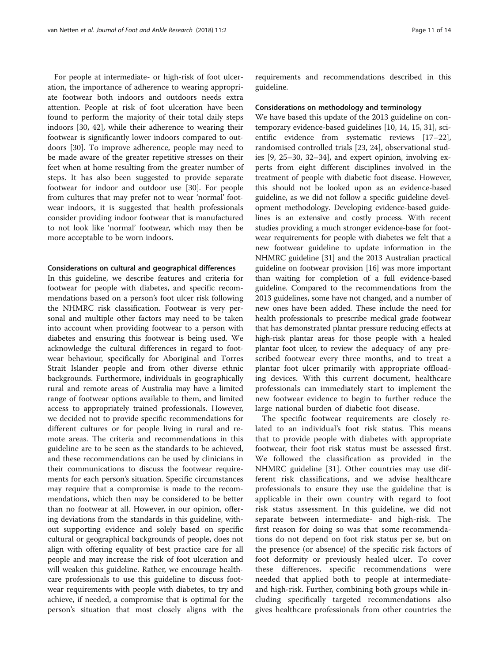For people at intermediate- or high-risk of foot ulceration, the importance of adherence to wearing appropriate footwear both indoors and outdoors needs extra attention. People at risk of foot ulceration have been found to perform the majority of their total daily steps indoors [[30](#page-12-0), [42](#page-13-0)], while their adherence to wearing their footwear is significantly lower indoors compared to outdoors [[30\]](#page-12-0). To improve adherence, people may need to be made aware of the greater repetitive stresses on their feet when at home resulting from the greater number of steps. It has also been suggested to provide separate footwear for indoor and outdoor use [[30\]](#page-12-0). For people from cultures that may prefer not to wear 'normal' footwear indoors, it is suggested that health professionals consider providing indoor footwear that is manufactured to not look like 'normal' footwear, which may then be more acceptable to be worn indoors.

#### Considerations on cultural and geographical differences

In this guideline, we describe features and criteria for footwear for people with diabetes, and specific recommendations based on a person's foot ulcer risk following the NHMRC risk classification. Footwear is very personal and multiple other factors may need to be taken into account when providing footwear to a person with diabetes and ensuring this footwear is being used. We acknowledge the cultural differences in regard to footwear behaviour, specifically for Aboriginal and Torres Strait Islander people and from other diverse ethnic backgrounds. Furthermore, individuals in geographically rural and remote areas of Australia may have a limited range of footwear options available to them, and limited access to appropriately trained professionals. However, we decided not to provide specific recommendations for different cultures or for people living in rural and remote areas. The criteria and recommendations in this guideline are to be seen as the standards to be achieved, and these recommendations can be used by clinicians in their communications to discuss the footwear requirements for each person's situation. Specific circumstances may require that a compromise is made to the recommendations, which then may be considered to be better than no footwear at all. However, in our opinion, offering deviations from the standards in this guideline, without supporting evidence and solely based on specific cultural or geographical backgrounds of people, does not align with offering equality of best practice care for all people and may increase the risk of foot ulceration and will weaken this guideline. Rather, we encourage healthcare professionals to use this guideline to discuss footwear requirements with people with diabetes, to try and achieve, if needed, a compromise that is optimal for the person's situation that most closely aligns with the requirements and recommendations described in this guideline.

#### Considerations on methodology and terminology

We have based this update of the 2013 guideline on contemporary evidence-based guidelines [[10, 14](#page-12-0), [15](#page-12-0), [31](#page-12-0)], scientific evidence from systematic reviews [[17](#page-12-0)–[22](#page-12-0)], randomised controlled trials [[23, 24\]](#page-12-0), observational studies [\[9](#page-12-0), [25](#page-12-0)–[30, 32](#page-12-0)–[34](#page-12-0)], and expert opinion, involving experts from eight different disciplines involved in the treatment of people with diabetic foot disease. However, this should not be looked upon as an evidence-based guideline, as we did not follow a specific guideline development methodology. Developing evidence-based guidelines is an extensive and costly process. With recent studies providing a much stronger evidence-base for footwear requirements for people with diabetes we felt that a new footwear guideline to update information in the NHMRC guideline [\[31\]](#page-12-0) and the 2013 Australian practical guideline on footwear provision [[16](#page-12-0)] was more important than waiting for completion of a full evidence-based guideline. Compared to the recommendations from the 2013 guidelines, some have not changed, and a number of new ones have been added. These include the need for health professionals to prescribe medical grade footwear that has demonstrated plantar pressure reducing effects at high-risk plantar areas for those people with a healed plantar foot ulcer, to review the adequacy of any prescribed footwear every three months, and to treat a plantar foot ulcer primarily with appropriate offloading devices. With this current document, healthcare professionals can immediately start to implement the new footwear evidence to begin to further reduce the large national burden of diabetic foot disease.

The specific footwear requirements are closely related to an individual's foot risk status. This means that to provide people with diabetes with appropriate footwear, their foot risk status must be assessed first. We followed the classification as provided in the NHMRC guideline [[31](#page-12-0)]. Other countries may use different risk classifications, and we advise healthcare professionals to ensure they use the guideline that is applicable in their own country with regard to foot risk status assessment. In this guideline, we did not separate between intermediate- and high-risk. The first reason for doing so was that some recommendations do not depend on foot risk status per se, but on the presence (or absence) of the specific risk factors of foot deformity or previously healed ulcer. To cover these differences, specific recommendations were needed that applied both to people at intermediateand high-risk. Further, combining both groups while including specifically targeted recommendations also gives healthcare professionals from other countries the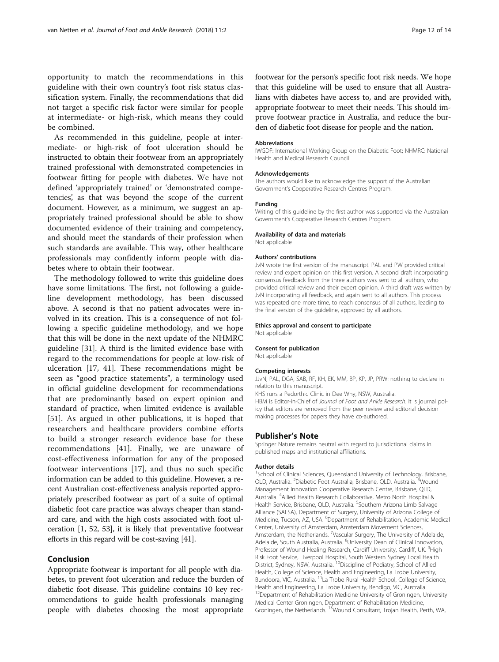opportunity to match the recommendations in this guideline with their own country's foot risk status classification system. Finally, the recommendations that did not target a specific risk factor were similar for people at intermediate- or high-risk, which means they could be combined.

As recommended in this guideline, people at intermediate- or high-risk of foot ulceration should be instructed to obtain their footwear from an appropriately trained professional with demonstrated competencies in footwear fitting for people with diabetes. We have not defined 'appropriately trained' or 'demonstrated competencies', as that was beyond the scope of the current document. However, as a minimum, we suggest an appropriately trained professional should be able to show documented evidence of their training and competency, and should meet the standards of their profession when such standards are available. This way, other healthcare professionals may confidently inform people with diabetes where to obtain their footwear.

The methodology followed to write this guideline does have some limitations. The first, not following a guideline development methodology, has been discussed above. A second is that no patient advocates were involved in its creation. This is a consequence of not following a specific guideline methodology, and we hope that this will be done in the next update of the NHMRC guideline [[31](#page-12-0)]. A third is the limited evidence base with regard to the recommendations for people at low-risk of ulceration [\[17,](#page-12-0) [41](#page-13-0)]. These recommendations might be seen as "good practice statements", a terminology used in official guideline development for recommendations that are predominantly based on expert opinion and standard of practice, when limited evidence is available [[51\]](#page-13-0). As argued in other publications, it is hoped that researchers and healthcare providers combine efforts to build a stronger research evidence base for these recommendations [[41](#page-13-0)]. Finally, we are unaware of cost-effectiveness information for any of the proposed footwear interventions [[17\]](#page-12-0), and thus no such specific information can be added to this guideline. However, a recent Australian cost-effectiveness analysis reported appropriately prescribed footwear as part of a suite of optimal diabetic foot care practice was always cheaper than standard care, and with the high costs associated with foot ulceration [[1,](#page-12-0) [52](#page-13-0), [53](#page-13-0)], it is likely that preventative footwear efforts in this regard will be cost-saving [\[41\]](#page-13-0).

#### Conclusion

Appropriate footwear is important for all people with diabetes, to prevent foot ulceration and reduce the burden of diabetic foot disease. This guideline contains 10 key recommendations to guide health professionals managing people with diabetes choosing the most appropriate

footwear for the person's specific foot risk needs. We hope that this guideline will be used to ensure that all Australians with diabetes have access to, and are provided with, appropriate footwear to meet their needs. This should improve footwear practice in Australia, and reduce the burden of diabetic foot disease for people and the nation.

#### Abbreviations

IWGDF: International Working Group on the Diabetic Foot; NHMRC: National Health and Medical Research Council

#### Acknowledgements

The authors would like to acknowledge the support of the Australian Government's Cooperative Research Centres Program.

#### Funding

Writing of this guideline by the first author was supported via the Australian Government's Cooperative Research Centres Program.

#### Availability of data and materials

Not applicable

#### Authors' contributions

JvN wrote the first version of the manuscript. PAL and PW provided critical review and expert opinion on this first version. A second draft incorporating consensus feedback from the three authors was sent to all authors, who provided critical review and their expert opinion. A third draft was written by JvN incorporating all feedback, and again sent to all authors. This process was repeated one more time, to reach consensus of all authors, leading to the final version of the guideline, approved by all authors.

#### Ethics approval and consent to participate

Not applicable

Consent for publication

Not applicable

#### Competing interests

JJvN, PAL, DGA, SAB, RF, KH, EK, MM, BP, KP, JP, PRW: nothing to declare in relation to this manuscript.

KHS runs a Pedorthic Clinic in Dee Why, NSW, Australia.

HBM is Editor-in-Chief of Journal of Foot and Ankle Research. It is journal policy that editors are removed from the peer review and editorial decision making processes for papers they have co-authored.

#### Publisher's Note

Springer Nature remains neutral with regard to jurisdictional claims in published maps and institutional affiliations.

#### Author details

<sup>1</sup>School of Clinical Sciences, Queensland University of Technology, Brisbane, QLD, Australia. <sup>2</sup>Diabetic Foot Australia, Brisbane, QLD, Australia.<sup>3</sup> Wound Management Innovation Cooperative Research Centre, Brisbane, QLD, Australia. <sup>4</sup> Allied Health Research Collaborative, Metro North Hospital & Health Service, Brisbane, QLD, Australia. <sup>5</sup>Southern Arizona Limb Salvage Alliance (SALSA), Department of Surgery, University of Arizona College of Medicine, Tucson, AZ, USA. <sup>6</sup>Department of Rehabilitation, Academic Medical Center, University of Amsterdam, Amsterdam Movement Sciences, Amsterdam, the Netherlands. <sup>7</sup>Vascular Surgery, The University of Adelaide, Adelaide, South Australia, Australia. <sup>8</sup>University Dean of Clinical Innovation Professor of Wound Healing Research, Cardiff University, Cardiff, UK. <sup>9</sup>High Risk Foot Service, Liverpool Hospital, South Western Sydney Local Health<br>District, Sydney, NSW, Australia. <sup>10</sup>Discipline of Podiatry, School of Allied Health, College of Science, Health and Engineering, La Trobe University, Bundoora, VIC, Australia. <sup>11</sup>La Trobe Rural Health School, College of Science, Health and Engineering, La Trobe University, Bendigo, VIC, Australia. <sup>12</sup>Department of Rehabilitation Medicine University of Groningen, University Medical Center Groningen, Department of Rehabilitation Medicine, Groningen, the Netherlands. 13Wound Consultant, Trojan Health, Perth, WA,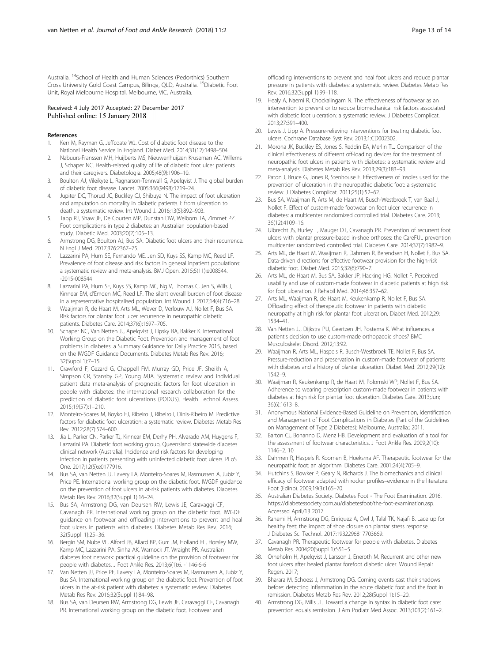<span id="page-12-0"></span>Australia. 14School of Health and Human Sciences (Pedorthics) Southern Cross University Gold Coast Campus, Bilinga, QLD, Australia. 15Diabetic Foot Unit, Royal Melbourne Hospital, Melbourne, VIC, Australia.

#### Received: 4 July 2017 Accepted: 27 December 2017 Published online: 15 January 2018

#### References

- 1. Kerr M, Rayman G, Jeffcoate WJ. Cost of diabetic foot disease to the National Health Service in England. Diabet Med. 2014;31(12):1498–504.
- 2. Nabuurs-Franssen MH, Huijberts MS, Nieuwenhuijzen Kruseman AC, Willems J, Schaper NC. Health-related quality of life of diabetic foot ulcer patients and their caregivers. Diabetologia. 2005;48(9):1906–10.
- Boulton AJ, Vileikyte L, Ragnarson-Tennvall G, Apelqvist J. The global burden of diabetic foot disease. Lancet. 2005;366(9498):1719–24.
- 4. Jupiter DC, Thorud JC, Buckley CJ, Shibuya N. The impact of foot ulceration and amputation on mortality in diabetic patients. I: from ulceration to death, a systematic review. Int Wound J. 2016;13(5):892–903.
- Tapp RJ, Shaw JE, De Courten MP, Dunstan DW, Welborn TA, Zimmet PZ. Foot complications in type 2 diabetes: an Australian population-based study. Diabetic Med. 2003;20(2):105–13.
- 6. Armstrong DG, Boulton AJ, Bus SA. Diabetic foot ulcers and their recurrence. N Engl J Med. 2017;376:2367–75.
- 7. Lazzarini PA, Hurn SE, Fernando ME, Jen SD, Kuys SS, Kamp MC, Reed LF. Prevalence of foot disease and risk factors in general inpatient populations: a systematic review and meta-analysis. BMJ Open. 2015;5(11):e008544. -2015-008544
- 8. Lazzarini PA, Hurn SE, Kuys SS, Kamp MC, Ng V, Thomas C, Jen S, Wills J, Kinnear EM, d'Emden MC, Reed LF. The silent overall burden of foot disease in a representative hospitalised population. Int Wound J. 2017;14(4):716–28.
- 9. Waaijman R, de Haart M, Arts ML, Wever D, Verlouw AJ, Nollet F, Bus SA. Risk factors for plantar foot ulcer recurrence in neuropathic diabetic patients. Diabetes Care. 2014;37(6):1697–705.
- Schaper NC, Van Netten JJ, Apelgvist J, Lipsky BA, Bakker K. International Working Group on the Diabetic Foot. Prevention and management of foot problems in diabetes: a Summary Guidance for Daily Practice 2015, based on the IWGDF Guidance Documents. Diabetes Metab Res Rev. 2016; 32(Suppl 1):7–15.
- 11. Crawford F, Cezard G, Chappell FM, Murray GD, Price JF, Sheikh A, Simpson CR, Stansby GP, Young MJA. Systematic review and individual patient data meta-analysis of prognostic factors for foot ulceration in people with diabetes: the international research collaboration for the prediction of diabetic foot ulcerations (PODUS). Health Technol Assess. 2015;19(57):1–210.
- 12. Monteiro-Soares M, Boyko EJ, Ribeiro J, Ribeiro I, Dinis-Ribeiro M. Predictive factors for diabetic foot ulceration: a systematic review. Diabetes Metab Res Rev. 2012;28(7):574–600.
- 13. Jia L, Parker CN, Parker TJ, Kinnear EM, Derhy PH, Alvarado AM, Huygens F, Lazzarini PA. Diabetic foot working group, Queensland statewide diabetes clinical network (Australia). Incidence and risk factors for developing infection in patients presenting with uninfected diabetic foot ulcers. PLoS One. 2017;12(5):e0177916.
- 14. Bus SA, van Netten JJ, Lavery LA, Monteiro-Soares M, Rasmussen A, Jubiz Y, Price PE. International working group on the diabetic foot. IWGDF guidance on the prevention of foot ulcers in at-risk patients with diabetes. Diabetes Metab Res Rev. 2016;32(Suppl 1):16–24.
- 15. Bus SA, Armstrong DG, van Deursen RW, Lewis JE, Caravaggi CF, Cavanagh PR. International working group on the diabetic foot. IWGDF guidance on footwear and offloading interventions to prevent and heal foot ulcers in patients with diabetes. Diabetes Metab Res Rev. 2016; 32(Suppl 1):25–36.
- 16. Bergin SM, Nube VL, Alford JB, Allard BP, Gurr JM, Holland EL, Horsley MW, Kamp MC, Lazzarini PA, Sinha AK, Warnock JT, Wraight PR. Australian diabetes foot network: practical guideline on the provision of footwear for people with diabetes. J Foot Ankle Res. 2013;6(1):6. -1146-6-6
- 17. Van Netten JJ, Price PE, Lavery LA, Monteiro-Soares M, Rasmussen A, Jubiz Y, Bus SA. International working group on the diabetic foot. Prevention of foot ulcers in the at-risk patient with diabetes: a systematic review. Diabetes Metab Res Rev. 2016;32(Suppl 1):84–98.
- 18. Bus SA, van Deursen RW, Armstrong DG, Lewis JE, Caravaggi CF, Cavanagh PR. International working group on the diabetic foot. Footwear and

offloading interventions to prevent and heal foot ulcers and reduce plantar pressure in patients with diabetes: a systematic review. Diabetes Metab Res Rev. 2016;32(Suppl 1):99–118.

- 19. Healy A, Naemi R, Chockalingam N. The effectiveness of footwear as an intervention to prevent or to reduce biomechanical risk factors associated with diabetic foot ulceration: a systematic review. J Diabetes Complicat. 2013;27:391–400.
- 20. Lewis J, Lipp A. Pressure-relieving interventions for treating diabetic foot ulcers. Cochrane Database Syst Rev. 2013;1:CD002302.
- 21. Morona JK, Buckley ES, Jones S, Reddin EA, Merlin TL. Comparison of the clinical effectiveness of different off-loading devices for the treatment of neuropathic foot ulcers in patients with diabetes: a systematic review and meta-analysis. Diabetes Metab Res Rev. 2013;29(3):183–93.
- 22. Paton J, Bruce G, Jones R, Stenhouse E. Effectiveness of insoles used for the prevention of ulceration in the neuropathic diabetic foot: a systematic review. J Diabetes Complicat. 2011;25(1):52–62.
- 23. Bus SA, Waaijman R, Arts M, de Haart M, Busch-Westbroek T, van Baal J, Nollet F. Effect of custom-made footwear on foot ulcer recurrence in diabetes: a multicenter randomized controlled trial. Diabetes Care. 2013; 36(12):4109–16.
- 24. Ulbrecht JS, Hurley T, Mauger DT, Cavanagh PR. Prevention of recurrent foot ulcers with plantar pressure-based in-shoe orthoses: the CareFUL prevention multicenter randomized controlled trial. Diabetes Care. 2014;37(7):1982–9.
- 25. Arts ML, de Haart M, Waaijman R, Dahmen R, Berendsen H, Nollet F, Bus SA. Data-driven directions for effective footwear provision for the high-risk diabetic foot. Diabet Med. 2015;32(6):790–7.
- 26. Arts ML, de Haart M, Bus SA, Bakker JP, Hacking HG, Nollet F. Perceived usability and use of custom-made footwear in diabetic patients at high risk for foot ulceration. J Rehabil Med. 2014;46:357–62.
- 27. Arts ML, Waaijman R, de Haart M, Keukenkamp R, Nollet F, Bus SA. Offloading effect of therapeutic footwear in patients with diabetic neuropathy at high risk for plantar foot ulceration. Diabet Med. 2012;29: 1534–41.
- 28. Van Netten JJ, Dijkstra PU, Geertzen JH, Postema K. What influences a patient's decision to use custom-made orthopaedic shoes? BMC Musculoskelet Disord. 2012;13:92.
- 29. Waaijman R, Arts ML, Haspels R, Busch-Westbroek TE, Nollet F, Bus SA. Pressure-reduction and preservation in custom-made footwear of patients with diabetes and a history of plantar ulceration. Diabet Med. 2012;29(12): 1542–9.
- 30. Waaijman R, Keukenkamp R, de Haart M, Polomski WP, Nollet F, Bus SA. Adherence to wearing prescription custom-made footwear in patients with diabetes at high risk for plantar foot ulceration. Diabetes Care. 2013;Jun; 36(6):1613–8.
- 31. Anonymous National Evidence-Based Guideline on Prevention, Identification and Management of Foot Complications in Diabetes (Part of the Guidelines on Management of Type 2 Diabetes): Melbourne, Australia:; 2011.
- 32. Barton CJ, Bonanno D, Menz HB. Development and evaluation of a tool for the assessment of footwear characteristics. J Foot Ankle Res. 2009;2(10): 1146–2. 10
- 33. Dahmen R, Haspels R, Koomen B, Hoeksma AF. Therapeutic footwear for the neuropathic foot: an algorithm. Diabetes Care. 2001;24(4):705–9.
- 34. Hutchins S, Bowker P, Geary N, Richards J. The biomechanics and clinical efficacy of footwear adapted with rocker profiles–evidence in the literature. Foot (Edinb). 2009;19(3):165–70.
- 35. Australian Diabetes Society. Diabetes Foot The Foot Examination. 2016. <https://diabetessociety.com.au/diabetesfoot/the-foot-examination.asp>. Accessed April/13 2017.
- 36. Rahemi H, Armstrong DG, Enriquez A, Owl J, Talal TK, Najafi B. Lace up for healthy feet: the impact of shoe closure on plantar stress response. J Diabetes Sci Technol. 2017:1932296817703669.
- 37. Cavanagh PR. Therapeutic footwear for people with diabetes. Diabetes Metab Res. 2004;20(Suppl 1):S51–5.
- 38. Orneholm H, Apelqvist J, Larsson J, Eneroth M. Recurrent and other new foot ulcers after healed plantar forefoot diabetic ulcer. Wound Repair Regen. 2017;
- 39. Bharara M, Schoess J, Armstrong DG. Coming events cast their shadows before: detecting inflammation in the acute diabetic foot and the foot in remission. Diabetes Metab Res Rev. 2012;28(Suppl 1):15–20.
- 40. Armstrong DG, Mills JL. Toward a change in syntax in diabetic foot care: prevention equals remission. J Am Podiatr Med Assoc. 2013;103(2):161–2.